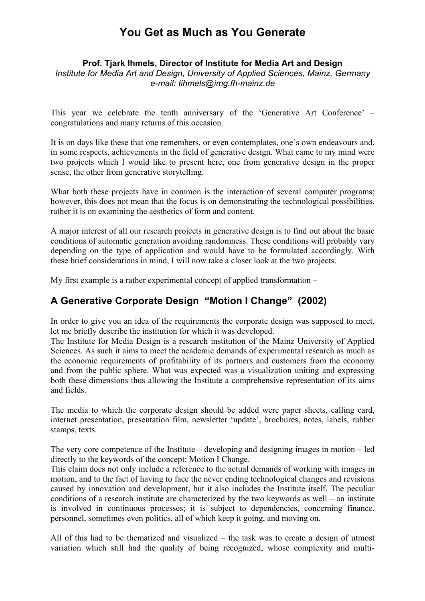# **You Get as Much as You Generate**

#### **Prof. Tjark Ihmels, Director of Institute for Media Art and Design**

*Institute for Media Art and Design, University of Applied Sciences, Mainz, Germany e-mail: tihmels@img.fh-mainz.de*

This year we celebrate the tenth anniversary of the 'Generative Art Conference' – congratulations and many returns of this occasion.

It is on days like these that one remembers, or even contemplates, one's own endeavours and, in some respects, achievements in the field of generative design. What came to my mind were two projects which I would like to present here, one from generative design in the proper sense, the other from generative storytelling.

What both these projects have in common is the interaction of several computer programs; however, this does not mean that the focus is on demonstrating the technological possibilities, rather it is on examining the aesthetics of form and content.

A major interest of all our research projects in generative design is to find out about the basic conditions of automatic generation avoiding randomness. These conditions will probably vary depending on the type of application and would have to be formulated accordingly. With these brief considerations in mind, I will now take a closer look at the two projects.

My first example is a rather experimental concept of applied transformation –

### **A Generative Corporate Design "Motion I Change" (2002)**

In order to give you an idea of the requirements the corporate design was supposed to meet, let me briefly describe the institution for which it was developed.

The Institute for Media Design is a research institution of the Mainz University of Applied Sciences. As such it aims to meet the academic demands of experimental research as much as the economic requirements of profitability of its partners and customers from the economy and from the public sphere. What was expected was a visualization uniting and expressing both these dimensions thus allowing the Institute a comprehensive representation of its aims and fields.

The media to which the corporate design should be added were paper sheets, calling card, internet presentation, presentation film, newsletter 'update', brochures, notes, labels, rubber stamps, texts.

The very core competence of the Institute – developing and designing images in motion – led directly to the keywords of the concept: Motion I Change.

This claim does not only include a reference to the actual demands of working with images in motion, and to the fact of having to face the never ending technological changes and revisions caused by innovation and development, but it also includes the Institute itself. The peculiar conditions of a research institute are characterized by the two keywords as well – an institute is involved in continuous processes; it is subject to dependencies, concerning finance, personnel, sometimes even politics, all of which keep it going, and moving on.

All of this had to be thematized and visualized – the task was to create a design of utmost variation which still had the quality of being recognized, whose complexity and multi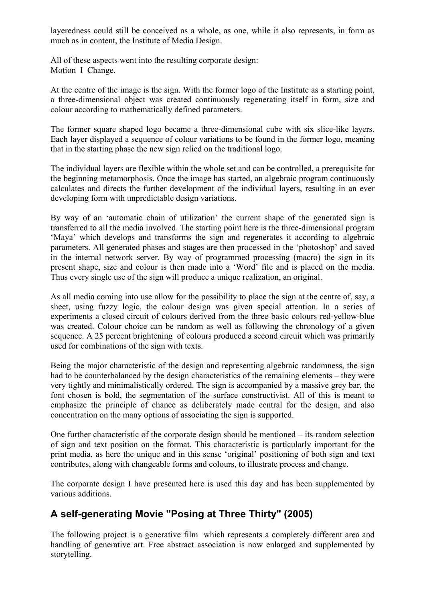layeredness could still be conceived as a whole, as one, while it also represents, in form as much as in content, the Institute of Media Design.

All of these aspects went into the resulting corporate design: Motion I Change.

At the centre of the image is the sign. With the former logo of the Institute as a starting point, a three-dimensional object was created continuously regenerating itself in form, size and colour according to mathematically defined parameters.

The former square shaped logo became a three-dimensional cube with six slice-like layers. Each layer displayed a sequence of colour variations to be found in the former logo, meaning that in the starting phase the new sign relied on the traditional logo.

The individual layers are flexible within the whole set and can be controlled, a prerequisite for the beginning metamorphosis. Once the image has started, an algebraic program continuously calculates and directs the further development of the individual layers, resulting in an ever developing form with unpredictable design variations.

By way of an 'automatic chain of utilization' the current shape of the generated sign is transferred to all the media involved. The starting point here is the three-dimensional program 'Maya' which develops and transforms the sign and regenerates it according to algebraic parameters. All generated phases and stages are then processed in the 'photoshop' and saved in the internal network server. By way of programmed processing (macro) the sign in its present shape, size and colour is then made into a 'Word' file and is placed on the media. Thus every single use of the sign will produce a unique realization, an original.

As all media coming into use allow for the possibility to place the sign at the centre of, say, a sheet, using fuzzy logic, the colour design was given special attention. In a series of experiments a closed circuit of colours derived from the three basic colours red-yellow-blue was created. Colour choice can be random as well as following the chronology of a given sequence. A 25 percent brightening of colours produced a second circuit which was primarily used for combinations of the sign with texts.

Being the major characteristic of the design and representing algebraic randomness, the sign had to be counterbalanced by the design characteristics of the remaining elements – they were very tightly and minimalistically ordered. The sign is accompanied by a massive grey bar, the font chosen is bold, the segmentation of the surface constructivist. All of this is meant to emphasize the principle of chance as deliberately made central for the design, and also concentration on the many options of associating the sign is supported.

One further characteristic of the corporate design should be mentioned – its random selection of sign and text position on the format. This characteristic is particularly important for the print media, as here the unique and in this sense 'original' positioning of both sign and text contributes, along with changeable forms and colours, to illustrate process and change.

The corporate design I have presented here is used this day and has been supplemented by various additions.

## **A self-generating Movie "Posing at Three Thirty" (2005)**

The following project is a generative film which represents a completely different area and handling of generative art. Free abstract association is now enlarged and supplemented by storytelling.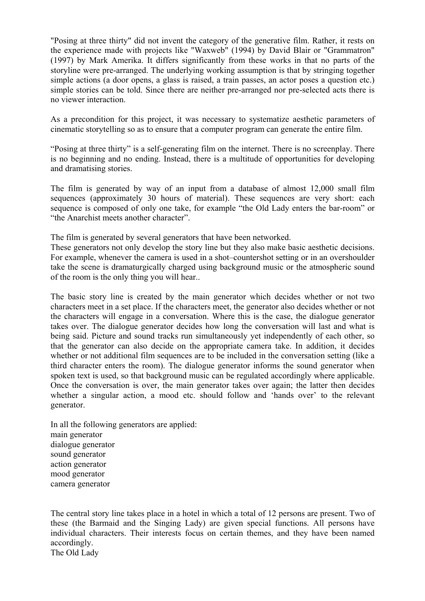"Posing at three thirty" did not invent the category of the generative film. Rather, it rests on the experience made with projects like "Waxweb" (1994) by David Blair or "Grammatron" (1997) by Mark Amerika. It differs significantly from these works in that no parts of the storyline were pre-arranged. The underlying working assumption is that by stringing together simple actions (a door opens, a glass is raised, a train passes, an actor poses a question etc.) simple stories can be told. Since there are neither pre-arranged nor pre-selected acts there is no viewer interaction.

As a precondition for this project, it was necessary to systematize aesthetic parameters of cinematic storytelling so as to ensure that a computer program can generate the entire film.

"Posing at three thirty" is a self-generating film on the internet. There is no screenplay. There is no beginning and no ending. Instead, there is a multitude of opportunities for developing and dramatising stories.

The film is generated by way of an input from a database of almost 12,000 small film sequences (approximately 30 hours of material). These sequences are very short: each sequence is composed of only one take, for example "the Old Lady enters the bar-room" or "the Anarchist meets another character".

The film is generated by several generators that have been networked.

These generators not only develop the story line but they also make basic aesthetic decisions. For example, whenever the camera is used in a shot–countershot setting or in an overshoulder take the scene is dramaturgically charged using background music or the atmospheric sound of the room is the only thing you will hear..

The basic story line is created by the main generator which decides whether or not two characters meet in a set place. If the characters meet, the generator also decides whether or not the characters will engage in a conversation. Where this is the case, the dialogue generator takes over. The dialogue generator decides how long the conversation will last and what is being said. Picture and sound tracks run simultaneously yet independently of each other, so that the generator can also decide on the appropriate camera take. In addition, it decides whether or not additional film sequences are to be included in the conversation setting (like a third character enters the room). The dialogue generator informs the sound generator when spoken text is used, so that background music can be regulated accordingly where applicable. Once the conversation is over, the main generator takes over again; the latter then decides whether a singular action, a mood etc. should follow and 'hands over' to the relevant generator.

In all the following generators are applied: main generator dialogue generator sound generator action generator mood generator camera generator

The central story line takes place in a hotel in which a total of 12 persons are present. Two of these (the Barmaid and the Singing Lady) are given special functions. All persons have individual characters. Their interests focus on certain themes, and they have been named accordingly. The Old Lady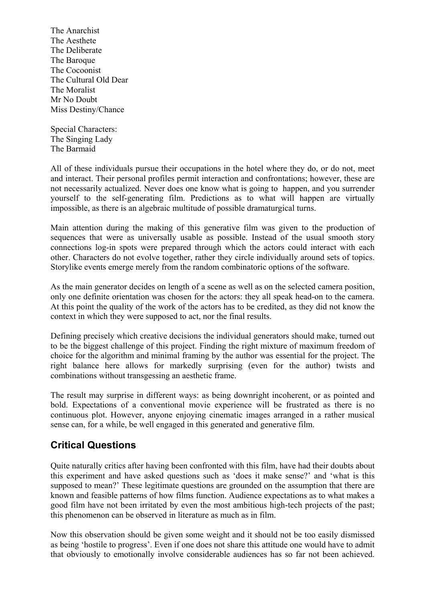The Anarchist The Aesthete The Deliberate The Baroque The Cocoonist The Cultural Old Dear The Moralist Mr No Doubt Miss Destiny/Chance

Special Characters: The Singing Lady The Barmaid

All of these individuals pursue their occupations in the hotel where they do, or do not, meet and interact. Their personal profiles permit interaction and confrontations; however, these are not necessarily actualized. Never does one know what is going to happen, and you surrender yourself to the self-generating film. Predictions as to what will happen are virtually impossible, as there is an algebraic multitude of possible dramaturgical turns.

Main attention during the making of this generative film was given to the production of sequences that were as universally usable as possible. Instead of the usual smooth story connections log-in spots were prepared through which the actors could interact with each other. Characters do not evolve together, rather they circle individually around sets of topics. Storylike events emerge merely from the random combinatoric options of the software.

As the main generator decides on length of a scene as well as on the selected camera position, only one definite orientation was chosen for the actors: they all speak head-on to the camera. At this point the quality of the work of the actors has to be credited, as they did not know the context in which they were supposed to act, nor the final results.

Defining precisely which creative decisions the individual generators should make, turned out to be the biggest challenge of this project. Finding the right mixture of maximum freedom of choice for the algorithm and minimal framing by the author was essential for the project. The right balance here allows for markedly surprising (even for the author) twists and combinations without transgessing an aesthetic frame.

The result may surprise in different ways: as being downright incoherent, or as pointed and bold. Expectations of a conventional movie experience will be frustrated as there is no continuous plot. However, anyone enjoying cinematic images arranged in a rather musical sense can, for a while, be well engaged in this generated and generative film.

### **Critical Questions**

Quite naturally critics after having been confronted with this film, have had their doubts about this experiment and have asked questions such as 'does it make sense?' and 'what is this supposed to mean?' These legitimate questions are grounded on the assumption that there are known and feasible patterns of how films function. Audience expectations as to what makes a good film have not been irritated by even the most ambitious high-tech projects of the past; this phenomenon can be observed in literature as much as in film.

Now this observation should be given some weight and it should not be too easily dismissed as being 'hostile to progress'. Even if one does not share this attitude one would have to admit that obviously to emotionally involve considerable audiences has so far not been achieved.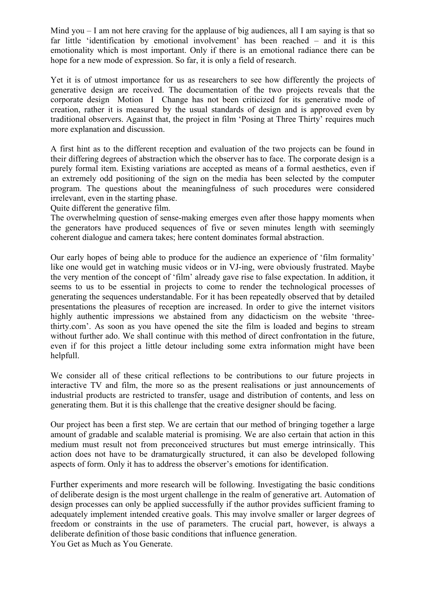Mind you  $-1$  am not here craving for the applause of big audiences, all I am saying is that so far little 'identification by emotional involvement' has been reached – and it is this emotionality which is most important. Only if there is an emotional radiance there can be hope for a new mode of expression. So far, it is only a field of research.

Yet it is of utmost importance for us as researchers to see how differently the projects of generative design are received. The documentation of the two projects reveals that the corporate design Motion I Change has not been criticized for its generative mode of creation, rather it is measured by the usual standards of design and is approved even by traditional observers. Against that, the project in film 'Posing at Three Thirty' requires much more explanation and discussion.

A first hint as to the different reception and evaluation of the two projects can be found in their differing degrees of abstraction which the observer has to face. The corporate design is a purely formal item. Existing variations are accepted as means of a formal aesthetics, even if an extremely odd positioning of the sign on the media has been selected by the computer program. The questions about the meaningfulness of such procedures were considered irrelevant, even in the starting phase.

Quite different the generative film.

The overwhelming question of sense-making emerges even after those happy moments when the generators have produced sequences of five or seven minutes length with seemingly coherent dialogue and camera takes; here content dominates formal abstraction.

Our early hopes of being able to produce for the audience an experience of 'film formality' like one would get in watching music videos or in VJ-ing, were obviously frustrated. Maybe the very mention of the concept of 'film' already gave rise to false expectation. In addition, it seems to us to be essential in projects to come to render the technological processes of generating the sequences understandable. For it has been repeatedly observed that by detailed presentations the pleasures of reception are increased. In order to give the internet visitors highly authentic impressions we abstained from any didacticism on the website 'threethirty.com'. As soon as you have opened the site the film is loaded and begins to stream without further ado. We shall continue with this method of direct confrontation in the future, even if for this project a little detour including some extra information might have been helpfull.

We consider all of these critical reflections to be contributions to our future projects in interactive TV and film, the more so as the present realisations or just announcements of industrial products are restricted to transfer, usage and distribution of contents, and less on generating them. But it is this challenge that the creative designer should be facing.

Our project has been a first step. We are certain that our method of bringing together a large amount of gradable and scalable material is promising. We are also certain that action in this medium must result not from preconceived structures but must emerge intrinsically. This action does not have to be dramaturgically structured, it can also be developed following aspects of form. Only it has to address the observer's emotions for identification.

Further experiments and more research will be following. Investigating the basic conditions of deliberate design is the most urgent challenge in the realm of generative art. Automation of design processes can only be applied successfully if the author provides sufficient framing to adequately implement intended creative goals. This may involve smaller or larger degrees of freedom or constraints in the use of parameters. The crucial part, however, is always a deliberate definition of those basic conditions that influence generation. You Get as Much as You Generate.